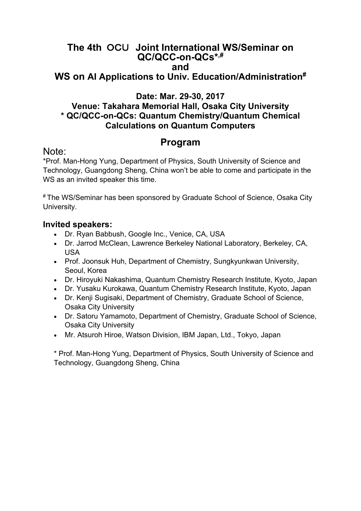## **The 4th** OCU **Joint International WS/Seminar on QC/QCC-on-QCs\*,# and**

# **WS on AI Applications to Univ. Education/Administration#**

#### **Date: Mar. 29-30, 2017**

#### **Venue: Takahara Memorial Hall, Osaka City University \* QC/QCC-on-QCs: Quantum Chemistry/Quantum Chemical Calculations on Quantum Computers**

# **Program** Note:

\*Prof. Man-Hong Yung, Department of Physics, South University of Science and Technology, Guangdong Sheng, China won't be able to come and participate in the WS as an invited speaker this time.

# The WS/Seminar has been sponsored by Graduate School of Science, Osaka City University.

#### **Invited speakers:**

- Dr. Ryan Babbush, Google Inc., Venice, CA, USA
- Dr. Jarrod McClean, Lawrence Berkeley National Laboratory, Berkeley, CA, USA
- Prof. Joonsuk Huh, Department of Chemistry, Sungkyunkwan University, Seoul, Korea
- Dr. Hiroyuki Nakashima, Quantum Chemistry Research Institute, Kyoto, Japan
- Dr. Yusaku Kurokawa, Quantum Chemistry Research Institute, Kyoto, Japan
- Dr. Kenji Sugisaki, Department of Chemistry, Graduate School of Science, Osaka City University
- Dr. Satoru Yamamoto, Department of Chemistry, Graduate School of Science, Osaka City University
- Mr. Atsuroh Hiroe, Watson Division, IBM Japan, Ltd., Tokyo, Japan

\* Prof. Man-Hong Yung, Department of Physics, South University of Science and Technology, Guangdong Sheng, China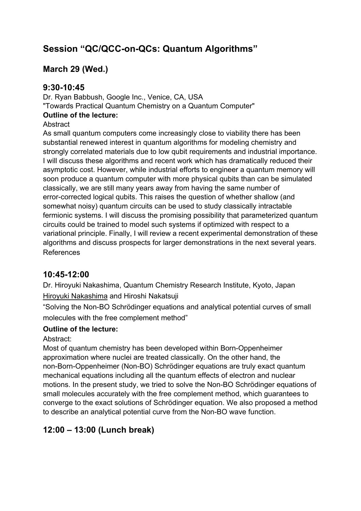# **Session "QC/QCC-on-QCs: Quantum Algorithms"**

# **March 29 (Wed.)**

#### **9:30-10:45**

Dr. Ryan Babbush, Google Inc., Venice, CA, USA "Towards Practical Quantum Chemistry on a Quantum Computer" **Outline of the lecture: Abstract** 

As small quantum computers come increasingly close to viability there has been substantial renewed interest in quantum algorithms for modeling chemistry and strongly correlated materials due to low qubit requirements and industrial importance. I will discuss these algorithms and recent work which has dramatically reduced their asymptotic cost. However, while industrial efforts to engineer a quantum memory will soon produce a quantum computer with more physical qubits than can be simulated classically, we are still many years away from having the same number of error-corrected logical qubits. This raises the question of whether shallow (and somewhat noisy) quantum circuits can be used to study classically intractable fermionic systems. I will discuss the promising possibility that parameterized quantum circuits could be trained to model such systems if optimized with respect to a variational principle. Finally, I will review a recent experimental demonstration of these algorithms and discuss prospects for larger demonstrations in the next several years. References

#### **10:45-12:00**

Dr. Hiroyuki Nakashima, Quantum Chemistry Research Institute, Kyoto, Japan Hiroyuki Nakashima and Hiroshi Nakatsuji

"Solving the Non-BO Schrödinger equations and analytical potential curves of small molecules with the free complement method"

#### **Outline of the lecture:**

#### Abstract:

Most of quantum chemistry has been developed within Born-Oppenheimer approximation where nuclei are treated classically. On the other hand, the non-Born-Oppenheimer (Non-BO) Schrödinger equations are truly exact quantum mechanical equations including all the quantum effects of electron and nuclear motions. In the present study, we tried to solve the Non-BO Schrödinger equations of small molecules accurately with the free complement method, which guarantees to converge to the exact solutions of Schrödinger equation. We also proposed a method to describe an analytical potential curve from the Non-BO wave function.

# **12:00 – 13:00 (Lunch break)**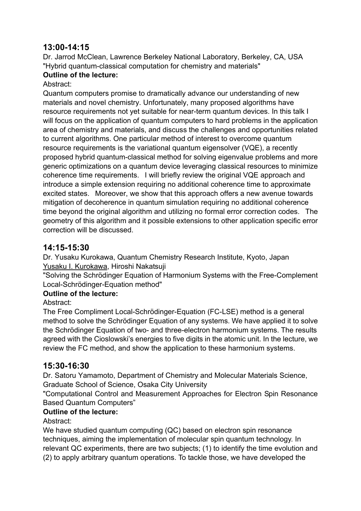### **13:00-14:15**

Dr. Jarrod McClean, Lawrence Berkeley National Laboratory, Berkeley, CA, USA "Hybrid quantum-classical computation for chemistry and materials"

#### **Outline of the lecture:**

#### Abstract:

Quantum computers promise to dramatically advance our understanding of new materials and novel chemistry. Unfortunately, many proposed algorithms have resource requirements not yet suitable for near-term quantum devices. In this talk I will focus on the application of quantum computers to hard problems in the application area of chemistry and materials, and discuss the challenges and opportunities related to current algorithms. One particular method of interest to overcome quantum resource requirements is the variational quantum eigensolver (VQE), a recently proposed hybrid quantum-classical method for solving eigenvalue problems and more generic optimizations on a quantum device leveraging classical resources to minimize coherence time requirements. I will briefly review the original VQE approach and introduce a simple extension requiring no additional coherence time to approximate excited states. Moreover, we show that this approach offers a new avenue towards mitigation of decoherence in quantum simulation requiring no additional coherence time beyond the original algorithm and utilizing no formal error correction codes. The geometry of this algorithm and it possible extensions to other application specific error correction will be discussed.

#### **14:15-15:30**

Dr. Yusaku Kurokawa, Quantum Chemistry Research Institute, Kyoto, Japan Yusaku I. Kurokawa, Hiroshi Nakatsuji

"Solving the Schrödinger Equation of Harmonium Systems with the Free-Complement Local-Schrödinger-Equation method"

#### **Outline of the lecture:**

Abstract:

The Free Compliment Local-Schrödinger-Equation (FC-LSE) method is a general method to solve the Schrödinger Equation of any systems. We have applied it to solve the Schrödinger Equation of two- and three-electron harmonium systems. The results agreed with the Cioslowski's energies to five digits in the atomic unit. In the lecture, we review the FC method, and show the application to these harmonium systems.

#### **15:30-16:30**

Dr. Satoru Yamamoto, Department of Chemistry and Molecular Materials Science, Graduate School of Science, Osaka City University

"Computational Control and Measurement Approaches for Electron Spin Resonance Based Quantum Computers"

#### **Outline of the lecture:**

#### Abstract:

We have studied quantum computing (QC) based on electron spin resonance techniques, aiming the implementation of molecular spin quantum technology. In relevant QC experiments, there are two subjects; (1) to identify the time evolution and (2) to apply arbitrary quantum operations. To tackle those, we have developed the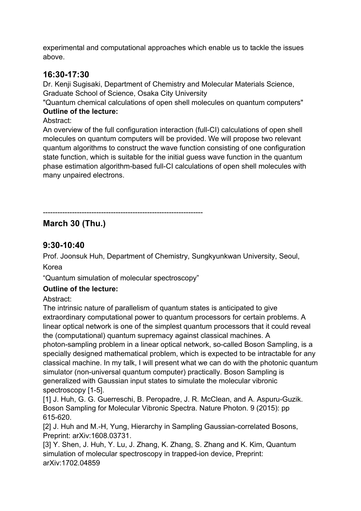experimental and computational approaches which enable us to tackle the issues above.

#### **16:30-17:30**

Dr. Kenji Sugisaki, Department of Chemistry and Molecular Materials Science, Graduate School of Science, Osaka City University

"Quantum chemical calculations of open shell molecules on quantum computers" **Outline of the lecture:**

Abstract:

An overview of the full configuration interaction (full-CI) calculations of open shell molecules on quantum computers will be provided. We will propose two relevant quantum algorithms to construct the wave function consisting of one configuration state function, which is suitable for the initial guess wave function in the quantum phase estimation algorithm-based full-CI calculations of open shell molecules with many unpaired electrons.

------------------------------------------------------------------ **March 30 (Thu.)** 

# **9:30-10:40**

Prof. Joonsuk Huh, Department of Chemistry, Sungkyunkwan University, Seoul,

Korea

"Quantum simulation of molecular spectroscopy"

#### **Outline of the lecture:**

Abstract:

The intrinsic nature of parallelism of quantum states is anticipated to give extraordinary computational power to quantum processors for certain problems. A linear optical network is one of the simplest quantum processors that it could reveal the (computational) quantum supremacy against classical machines. A photon-sampling problem in a linear optical network, so-called Boson Sampling, is a specially designed mathematical problem, which is expected to be intractable for any classical machine. In my talk, I will present what we can do with the photonic quantum simulator (non-universal quantum computer) practically. Boson Sampling is generalized with Gaussian input states to simulate the molecular vibronic spectroscopy [1-5].

[1] J. Huh, G. G. Guerreschi, B. Peropadre, J. R. McClean, and A. Aspuru-Guzik. Boson Sampling for Molecular Vibronic Spectra. Nature Photon. 9 (2015): pp 615-620.

[2] J. Huh and M.-H, Yung, Hierarchy in Sampling Gaussian-correlated Bosons, Preprint: arXiv:1608.03731.

[3] Y. Shen, J. Huh, Y. Lu, J. Zhang, K. Zhang, S. Zhang and K. Kim, Quantum simulation of molecular spectroscopy in trapped-ion device, Preprint: arXiv:1702.04859